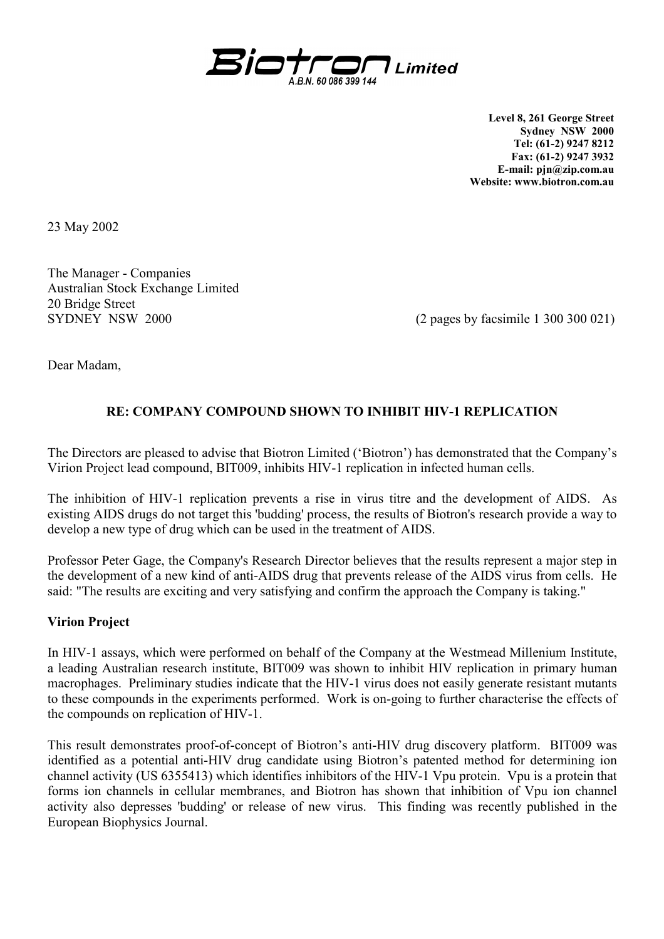

**Level 8, 261 George Street Sydney NSW 2000 Tel: (61-2) 9247 8212 Fax: (61-2) 9247 3932 E-mail: pjn@zip.com.au Website: www.biotron.com.au** 

23 May 2002

The Manager - Companies Australian Stock Exchange Limited 20 Bridge Street SYDNEY NSW 2000 (2 pages by facsimile 1 300 300 021)

Dear Madam,

## **RE: COMPANY COMPOUND SHOWN TO INHIBIT HIV-1 REPLICATION**

The Directors are pleased to advise that Biotron Limited ('Biotron') has demonstrated that the Company's Virion Project lead compound, BIT009, inhibits HIV-1 replication in infected human cells.

The inhibition of HIV-1 replication prevents a rise in virus titre and the development of AIDS. As existing AIDS drugs do not target this 'budding' process, the results of Biotron's research provide a way to develop a new type of drug which can be used in the treatment of AIDS.

Professor Peter Gage, the Company's Research Director believes that the results represent a major step in the development of a new kind of anti-AIDS drug that prevents release of the AIDS virus from cells. He said: "The results are exciting and very satisfying and confirm the approach the Company is taking."

## **Virion Project**

In HIV-1 assays, which were performed on behalf of the Company at the Westmead Millenium Institute, a leading Australian research institute, BIT009 was shown to inhibit HIV replication in primary human macrophages. Preliminary studies indicate that the HIV-1 virus does not easily generate resistant mutants to these compounds in the experiments performed. Work is on-going to further characterise the effects of the compounds on replication of HIV-1.

This result demonstrates proof-of-concept of Biotron's anti-HIV drug discovery platform. BIT009 was identified as a potential anti-HIV drug candidate using Biotron's patented method for determining ion channel activity (US 6355413) which identifies inhibitors of the HIV-1 Vpu protein. Vpu is a protein that forms ion channels in cellular membranes, and Biotron has shown that inhibition of Vpu ion channel activity also depresses 'budding' or release of new virus. This finding was recently published in the European Biophysics Journal.